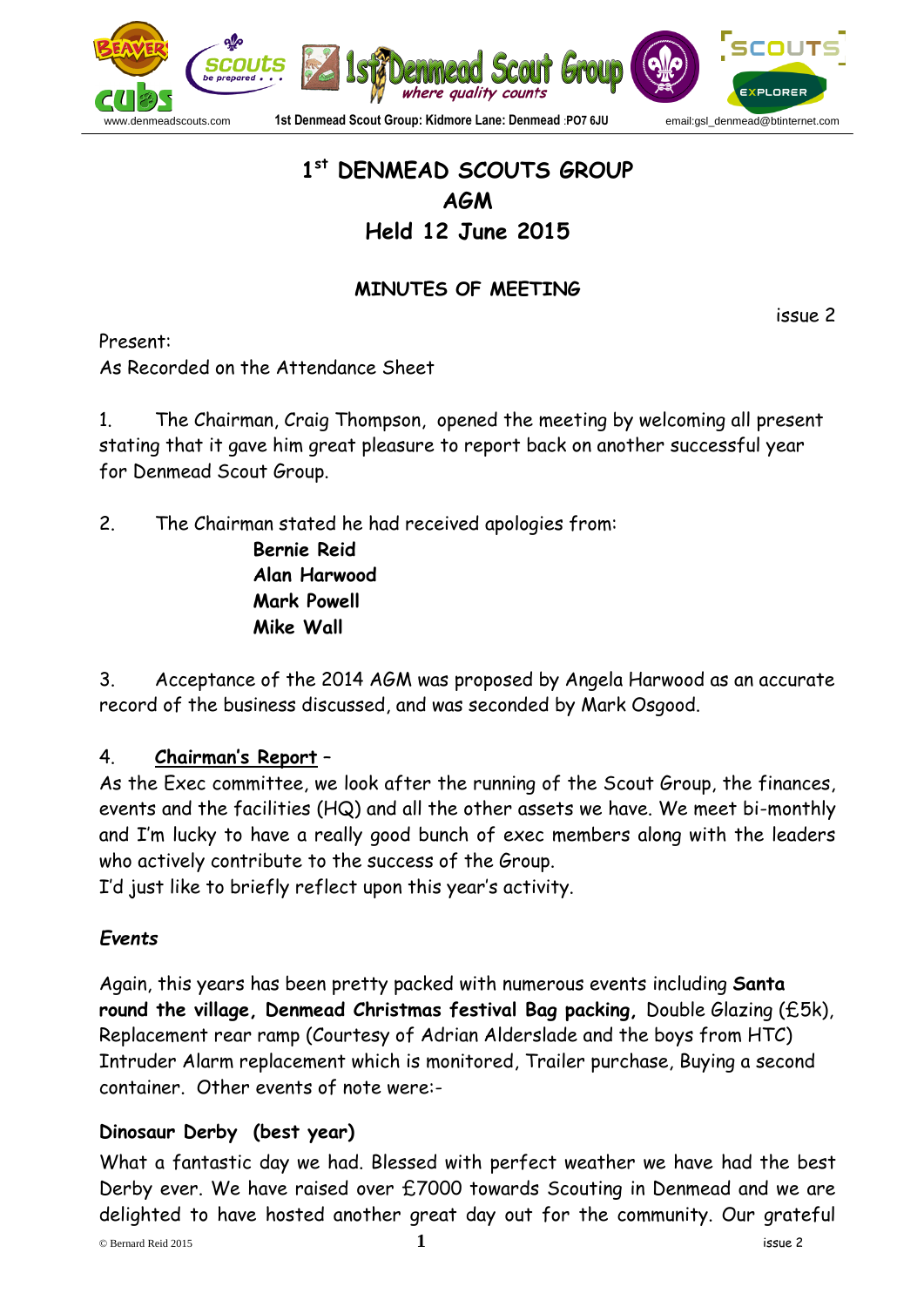

# **1 st DENMEAD SCOUTS GROUP AGM Held 12 June 2015**

## **MINUTES OF MEETING**

issue 2

Present: As Recorded on the Attendance Sheet

1. The Chairman, Craig Thompson, opened the meeting by welcoming all present stating that it gave him great pleasure to report back on another successful year for Denmead Scout Group.

2. The Chairman stated he had received apologies from:

**Bernie Reid Alan Harwood Mark Powell Mike Wall**

3. Acceptance of the 2014 AGM was proposed by Angela Harwood as an accurate record of the business discussed, and was seconded by Mark Osgood.

## 4. **Chairman's Report** –

As the Exec committee, we look after the running of the Scout Group, the finances, events and the facilities (HQ) and all the other assets we have. We meet bi-monthly and I'm lucky to have a really good bunch of exec members along with the leaders who actively contribute to the success of the Group.

I'd just like to briefly reflect upon this year's activity.

## *Events*

Again, this years has been pretty packed with numerous events including **Santa round the village, Denmead Christmas festival Bag packing,** Double Glazing (£5k), Replacement rear ramp (Courtesy of Adrian Alderslade and the boys from HTC) Intruder Alarm replacement which is monitored, Trailer purchase, Buying a second container. Other events of note were:-

## **Dinosaur Derby (best year)**

What a fantastic day we had. Blessed with perfect weather we have had the best Derby ever. We have raised over £7000 towards Scouting in Denmead and we are delighted to have hosted another great day out for the community. Our grateful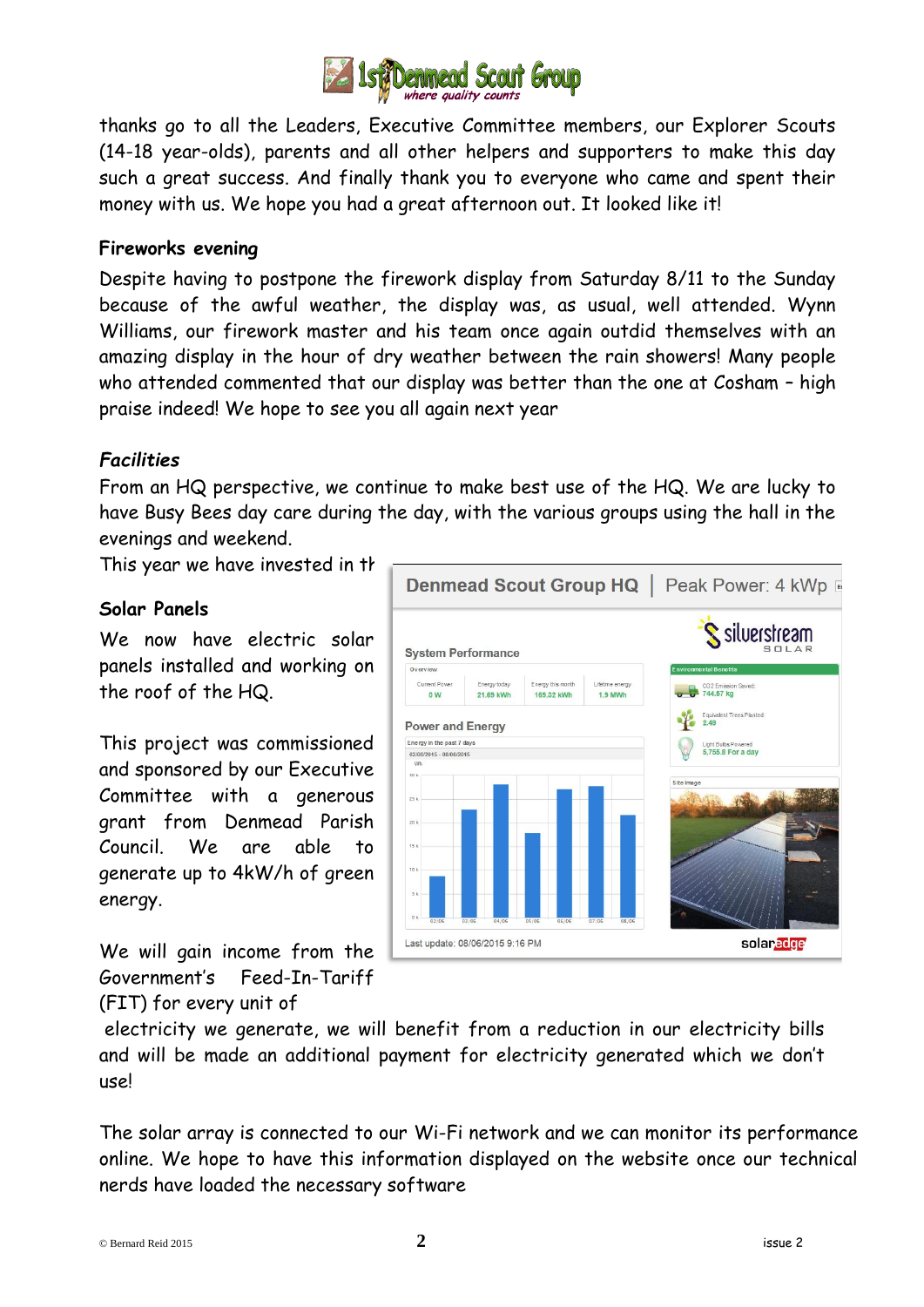

thanks go to all the Leaders, Executive Committee members, our Explorer Scouts (14-18 year-olds), parents and all other helpers and supporters to make this day such a great success. And finally thank you to everyone who came and spent their money with us. We hope you had a great afternoon out. It looked like it!

#### **Fireworks evening**

Despite having to postpone the firework display from Saturday 8/11 to the Sunday because of the awful weather, the display was, as usual, well attended. Wynn Williams, our firework master and his team once again outdid themselves with an amazing display in the hour of dry weather between the rain showers! Many people who attended commented that our display was better than the one at Cosham – high praise indeed! We hope to see you all again next year

### *Facilities*

From an HQ perspective, we continue to make best use of the HQ. We are lucky to have Busy Bees day care during the day, with the various groups using the hall in the evenings and weekend.

### **Solar Panels**

We now have electric solar panels installed and working on the roof of the HQ.

This project was commissioned and sponsored by our Executive Committee with a generous grant from Denmead Parish Council. We are able to generate up to 4kW/h of green energy.

We will gain income from the Government's Feed-In-Tariff (FIT) for every unit of



electricity we generate, we will benefit from a reduction in our electricity bills and will be made an additional payment for electricity generated which we don't use!

The solar array is connected to our Wi-Fi network and we can monitor its performance online. We hope to have this information displayed on the website once our technical nerds have loaded the necessary software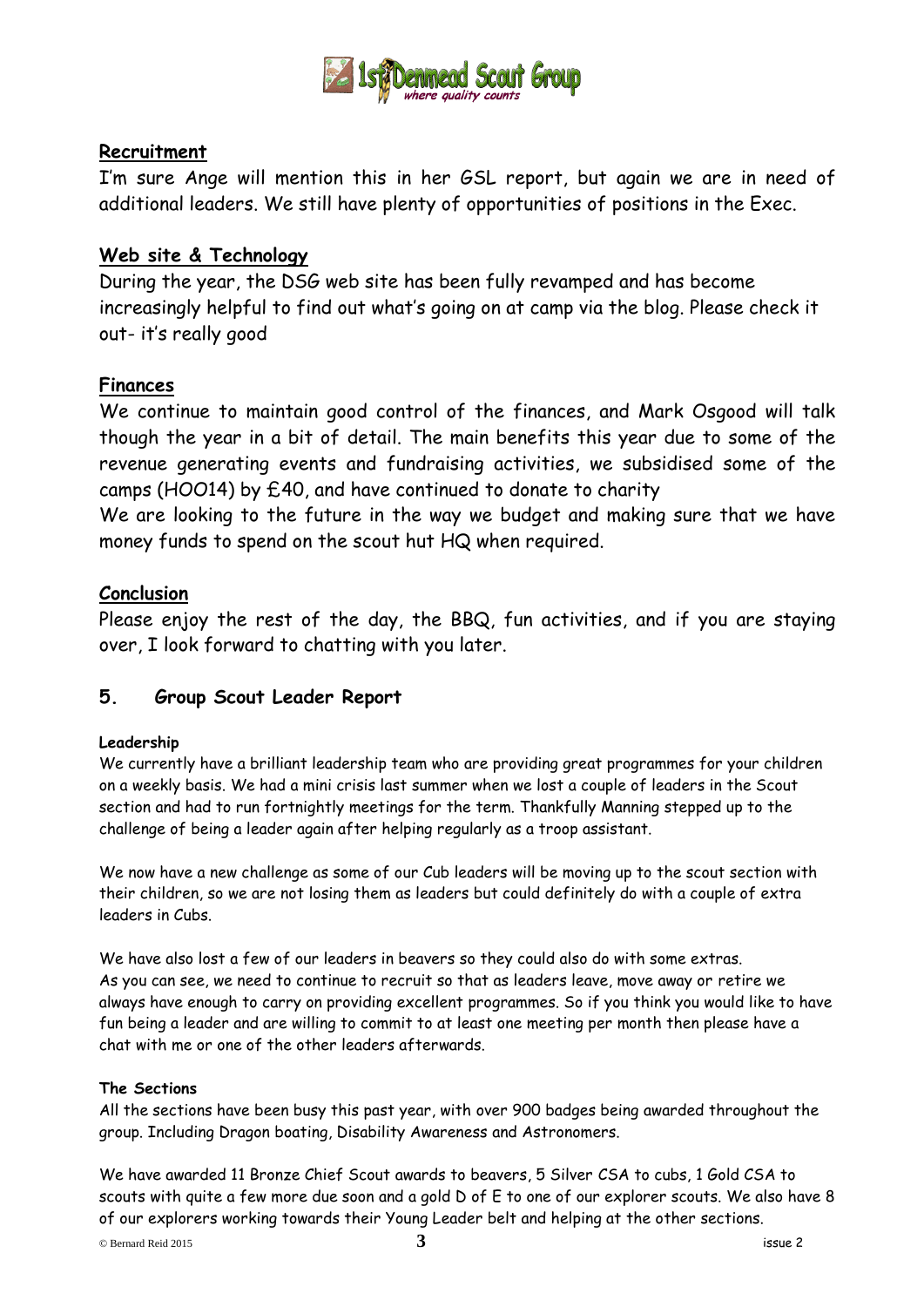

#### **Recruitment**

I'm sure Ange will mention this in her GSL report, but again we are in need of additional leaders. We still have plenty of opportunities of positions in the Exec.

#### **Web site & Technology**

During the year, the DSG web site has been fully revamped and has become increasingly helpful to find out what's going on at camp via the blog. Please check it out- it's really good

#### **Finances**

We continue to maintain good control of the finances, and Mark Osgood will talk though the year in a bit of detail. The main benefits this year due to some of the revenue generating events and fundraising activities, we subsidised some of the camps (HOO14) by £40, and have continued to donate to charity

We are looking to the future in the way we budget and making sure that we have money funds to spend on the scout hut HQ when required.

#### **Conclusion**

Please enjoy the rest of the day, the BBQ, fun activities, and if you are staying over, I look forward to chatting with you later.

#### **5. Group Scout Leader Report**

#### **Leadership**

We currently have a brilliant leadership team who are providing great programmes for your children on a weekly basis. We had a mini crisis last summer when we lost a couple of leaders in the Scout section and had to run fortnightly meetings for the term. Thankfully Manning stepped up to the challenge of being a leader again after helping regularly as a troop assistant.

We now have a new challenge as some of our Cub leaders will be moving up to the scout section with their children, so we are not losing them as leaders but could definitely do with a couple of extra leaders in Cubs.

We have also lost a few of our leaders in beavers so they could also do with some extras. As you can see, we need to continue to recruit so that as leaders leave, move away or retire we always have enough to carry on providing excellent programmes. So if you think you would like to have fun being a leader and are willing to commit to at least one meeting per month then please have a chat with me or one of the other leaders afterwards.

#### **The Sections**

All the sections have been busy this past year, with over 900 badges being awarded throughout the group. Including Dragon boating, Disability Awareness and Astronomers.

We have awarded 11 Bronze Chief Scout awards to beavers, 5 Silver CSA to cubs, 1 Gold CSA to scouts with quite a few more due soon and a gold D of E to one of our explorer scouts. We also have 8 of our explorers working towards their Young Leader belt and helping at the other sections.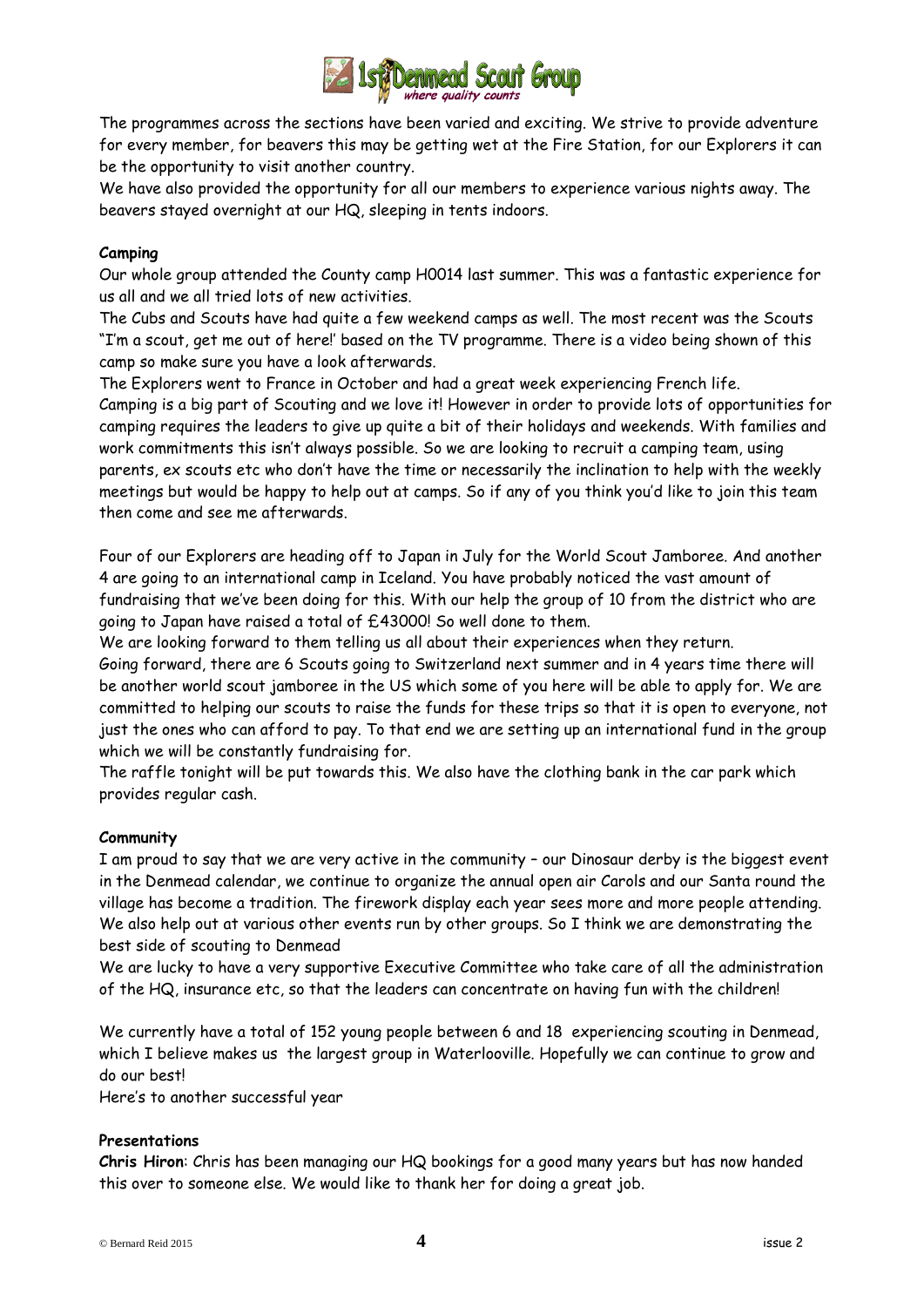

The programmes across the sections have been varied and exciting. We strive to provide adventure for every member, for beavers this may be getting wet at the Fire Station, for our Explorers it can be the opportunity to visit another country.

We have also provided the opportunity for all our members to experience various nights away. The beavers stayed overnight at our HQ, sleeping in tents indoors.

#### **Camping**

Our whole group attended the County camp H0014 last summer. This was a fantastic experience for us all and we all tried lots of new activities.

The Cubs and Scouts have had quite a few weekend camps as well. The most recent was the Scouts "I'm a scout, get me out of here!' based on the TV programme. There is a video being shown of this camp so make sure you have a look afterwards.

The Explorers went to France in October and had a great week experiencing French life.

Camping is a big part of Scouting and we love it! However in order to provide lots of opportunities for camping requires the leaders to give up quite a bit of their holidays and weekends. With families and work commitments this isn't always possible. So we are looking to recruit a camping team, using parents, ex scouts etc who don't have the time or necessarily the inclination to help with the weekly meetings but would be happy to help out at camps. So if any of you think you'd like to join this team then come and see me afterwards.

Four of our Explorers are heading off to Japan in July for the World Scout Jamboree. And another 4 are going to an international camp in Iceland. You have probably noticed the vast amount of fundraising that we've been doing for this. With our help the group of 10 from the district who are going to Japan have raised a total of £43000! So well done to them.

We are looking forward to them telling us all about their experiences when they return.

Going forward, there are 6 Scouts going to Switzerland next summer and in 4 years time there will be another world scout jamboree in the US which some of you here will be able to apply for. We are committed to helping our scouts to raise the funds for these trips so that it is open to everyone, not just the ones who can afford to pay. To that end we are setting up an international fund in the group which we will be constantly fundraising for.

The raffle tonight will be put towards this. We also have the clothing bank in the car park which provides regular cash.

#### **Community**

I am proud to say that we are very active in the community – our Dinosaur derby is the biggest event in the Denmead calendar, we continue to organize the annual open air Carols and our Santa round the village has become a tradition. The firework display each year sees more and more people attending. We also help out at various other events run by other groups. So I think we are demonstrating the best side of scouting to Denmead

We are lucky to have a very supportive Executive Committee who take care of all the administration of the HQ, insurance etc, so that the leaders can concentrate on having fun with the children!

We currently have a total of 152 young people between 6 and 18 experiencing scouting in Denmead, which I believe makes us the largest group in Waterlooville. Hopefully we can continue to grow and do our best!

Here's to another successful year

#### **Presentations**

**Chris Hiron**: Chris has been managing our HQ bookings for a good many years but has now handed this over to someone else. We would like to thank her for doing a great job.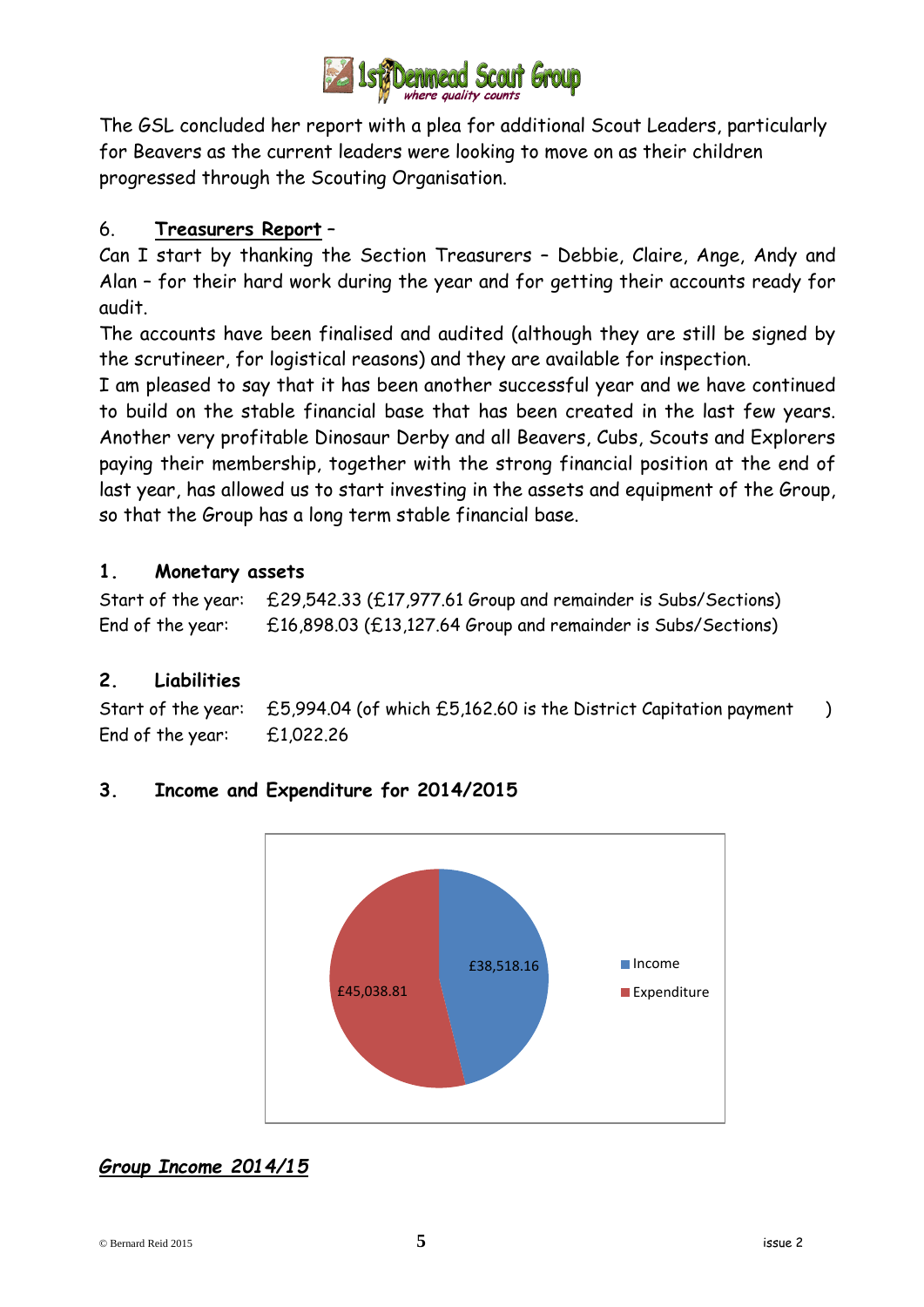

The GSL concluded her report with a plea for additional Scout Leaders, particularly for Beavers as the current leaders were looking to move on as their children progressed through the Scouting Organisation.

## 6. **Treasurers Report** –

Can I start by thanking the Section Treasurers – Debbie, Claire, Ange, Andy and Alan – for their hard work during the year and for getting their accounts ready for audit.

The accounts have been finalised and audited (although they are still be signed by the scrutineer, for logistical reasons) and they are available for inspection.

I am pleased to say that it has been another successful year and we have continued to build on the stable financial base that has been created in the last few years. Another very profitable Dinosaur Derby and all Beavers, Cubs, Scouts and Explorers paying their membership, together with the strong financial position at the end of last year, has allowed us to start investing in the assets and equipment of the Group, so that the Group has a long term stable financial base.

## **1. Monetary assets**

Start of the year: £29,542.33 (£17,977.61 Group and remainder is Subs/Sections) End of the year: £16,898.03 (£13,127.64 Group and remainder is Subs/Sections)

## **2. Liabilities**

Start of the year: £5,994.04 (of which £5,162.60 is the District Capitation payment ) End of the year: £1,022.26

## **3. Income and Expenditure for 2014/2015**



## *Group Income 2014/15*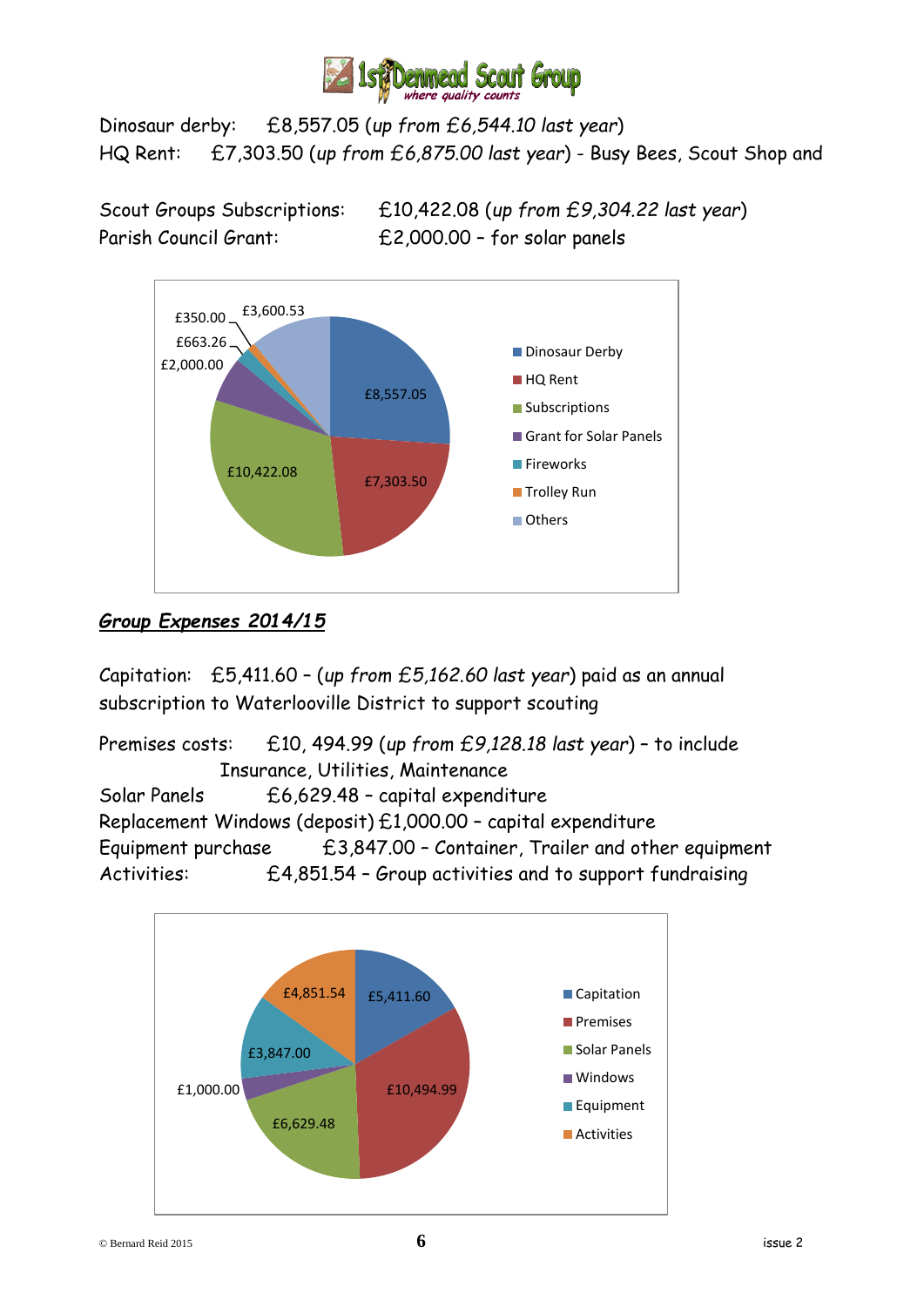

Dinosaur derby: £8,557.05 (*up from £6,544.10 last year*) HQ Rent: £7,303.50 (*up from £6,875.00 last year*) - Busy Bees, Scout Shop and

Scout Groups Subscriptions: £10,422.08 (*up from £9,304.22 last year*) Parish Council Grant: £2,000.00 – for solar panels



## *Group Expenses 2014/15*

Capitation: £5,411.60 – (*up from £5,162.60 last year*) paid as an annual subscription to Waterlooville District to support scouting

Premises costs: £10, 494.99 (*up from £9,128.18 last year*) – to include Insurance, Utilities, Maintenance Solar Panels £6,629.48 – capital expenditure Replacement Windows (deposit) £1,000.00 – capital expenditure Equipment purchase  $£3,847.00 -$  Container, Trailer and other equipment Activities: £4,851.54 – Group activities and to support fundraising

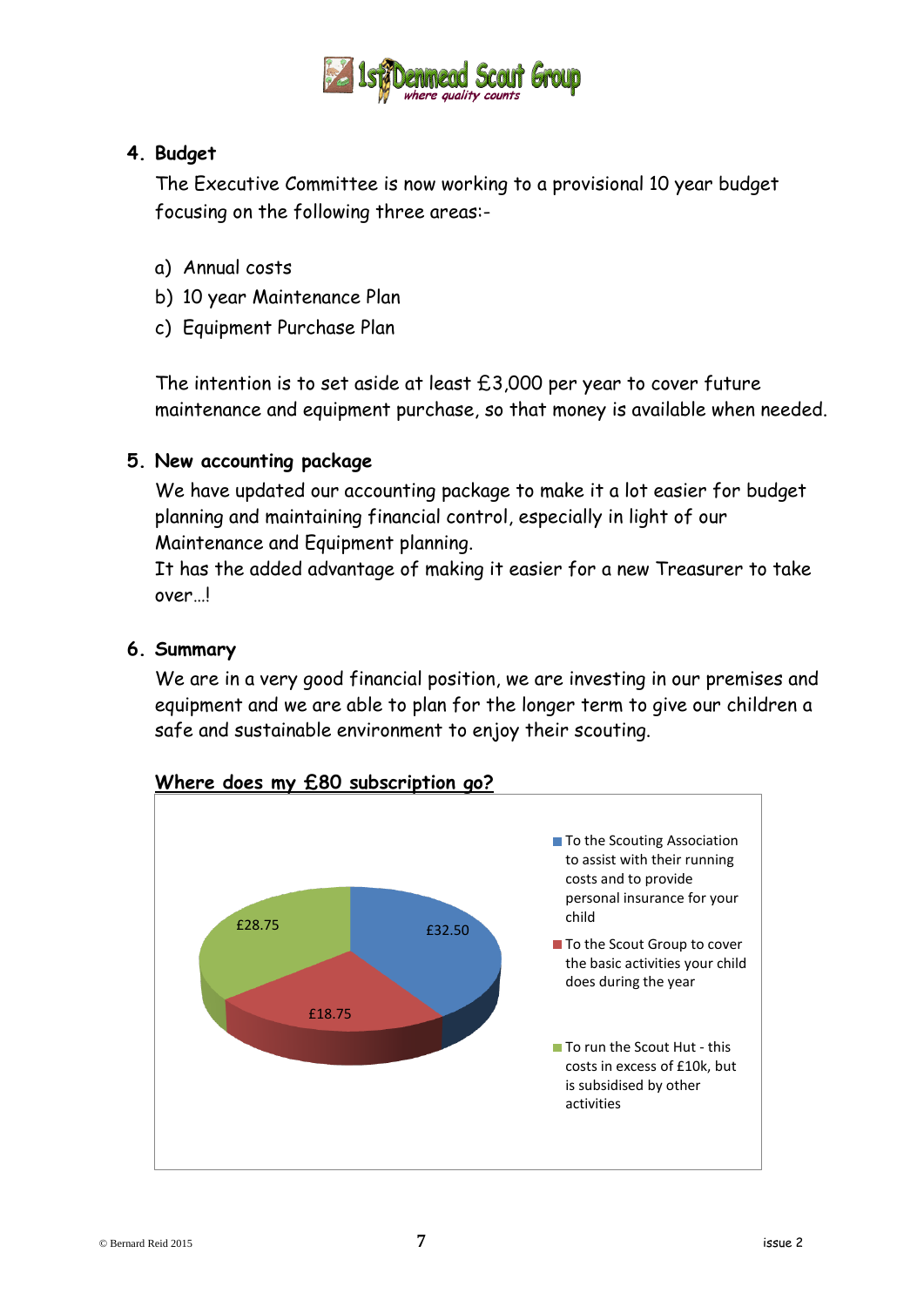

## **4. Budget**

The Executive Committee is now working to a provisional 10 year budget focusing on the following three areas:-

- a) Annual costs
- b) 10 year Maintenance Plan
- c) Equipment Purchase Plan

The intention is to set aside at least  $£3,000$  per year to cover future maintenance and equipment purchase, so that money is available when needed.

### **5. New accounting package**

We have updated our accounting package to make it a lot easier for budget planning and maintaining financial control, especially in light of our Maintenance and Equipment planning.

It has the added advantage of making it easier for a new Treasurer to take over…!

#### **6. Summary**

We are in a very good financial position, we are investing in our premises and equipment and we are able to plan for the longer term to give our children a safe and sustainable environment to enjoy their scouting.



#### **Where does my £80 subscription go?**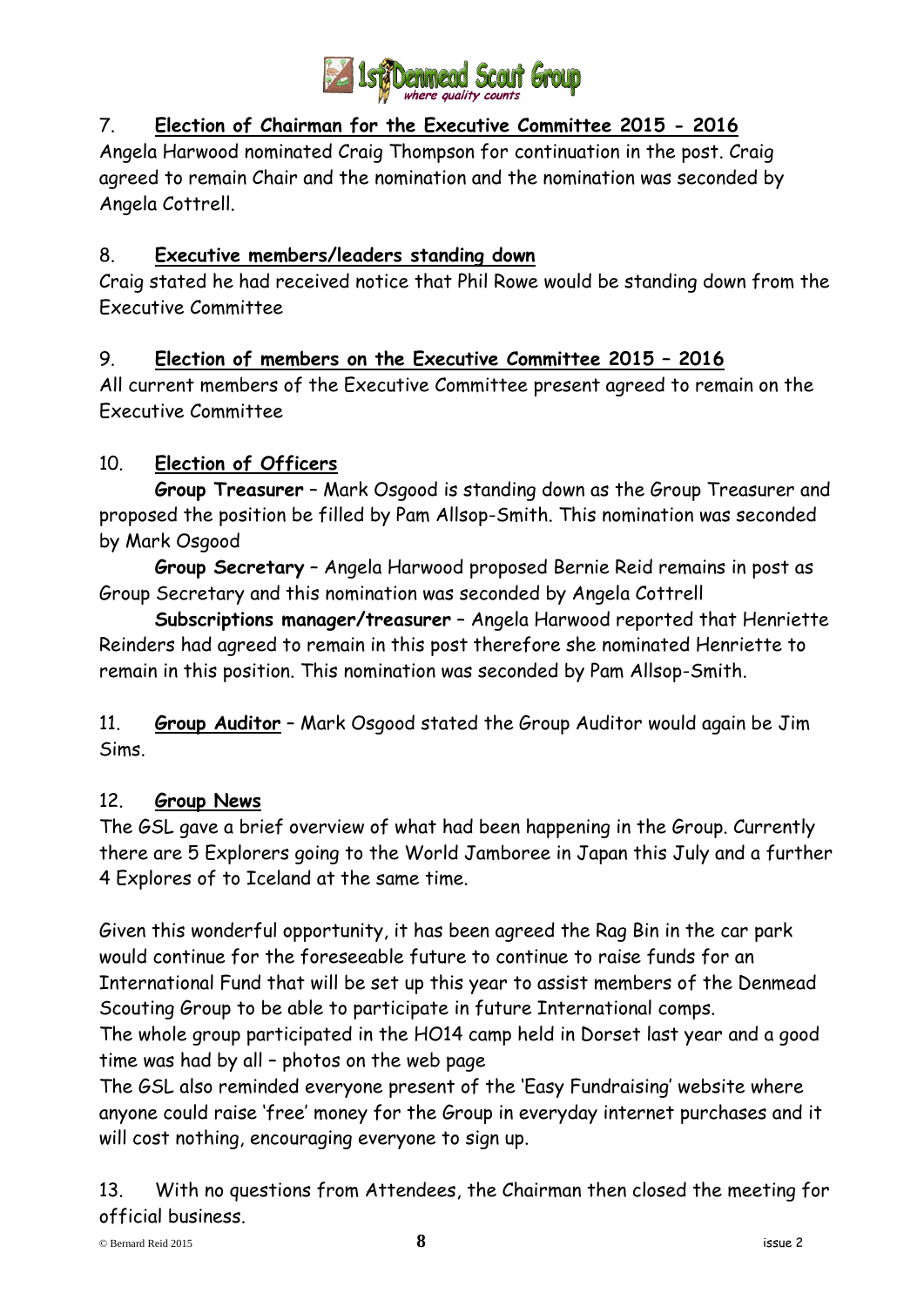

## 7. **Election of Chairman for the Executive Committee 2015 - 2016**

Angela Harwood nominated Craig Thompson for continuation in the post. Craig agreed to remain Chair and the nomination and the nomination was seconded by Angela Cottrell.

## 8. **Executive members/leaders standing down**

Craig stated he had received notice that Phil Rowe would be standing down from the Executive Committee

## 9. **Election of members on the Executive Committee 2015 – 2016**

All current members of the Executive Committee present agreed to remain on the Executive Committee

## 10. **Election of Officers**

**Group Treasurer** – Mark Osgood is standing down as the Group Treasurer and proposed the position be filled by Pam Allsop-Smith. This nomination was seconded by Mark Osgood

**Group Secretary** – Angela Harwood proposed Bernie Reid remains in post as Group Secretary and this nomination was seconded by Angela Cottrell

**Subscriptions manager/treasurer** – Angela Harwood reported that Henriette Reinders had agreed to remain in this post therefore she nominated Henriette to remain in this position. This nomination was seconded by Pam Allsop-Smith.

11. **Group Auditor** – Mark Osgood stated the Group Auditor would again be Jim Sims.

## 12. **Group News**

The GSL gave a brief overview of what had been happening in the Group. Currently there are 5 Explorers going to the World Jamboree in Japan this July and a further 4 Explores of to Iceland at the same time.

Given this wonderful opportunity, it has been agreed the Rag Bin in the car park would continue for the foreseeable future to continue to raise funds for an International Fund that will be set up this year to assist members of the Denmead Scouting Group to be able to participate in future International comps.

The whole group participated in the HO14 camp held in Dorset last year and a good time was had by all – photos on the web page

The GSL also reminded everyone present of the 'Easy Fundraising' website where anyone could raise 'free' money for the Group in everyday internet purchases and it will cost nothing, encouraging everyone to sign up.

13. With no questions from Attendees, the Chairman then closed the meeting for official business.